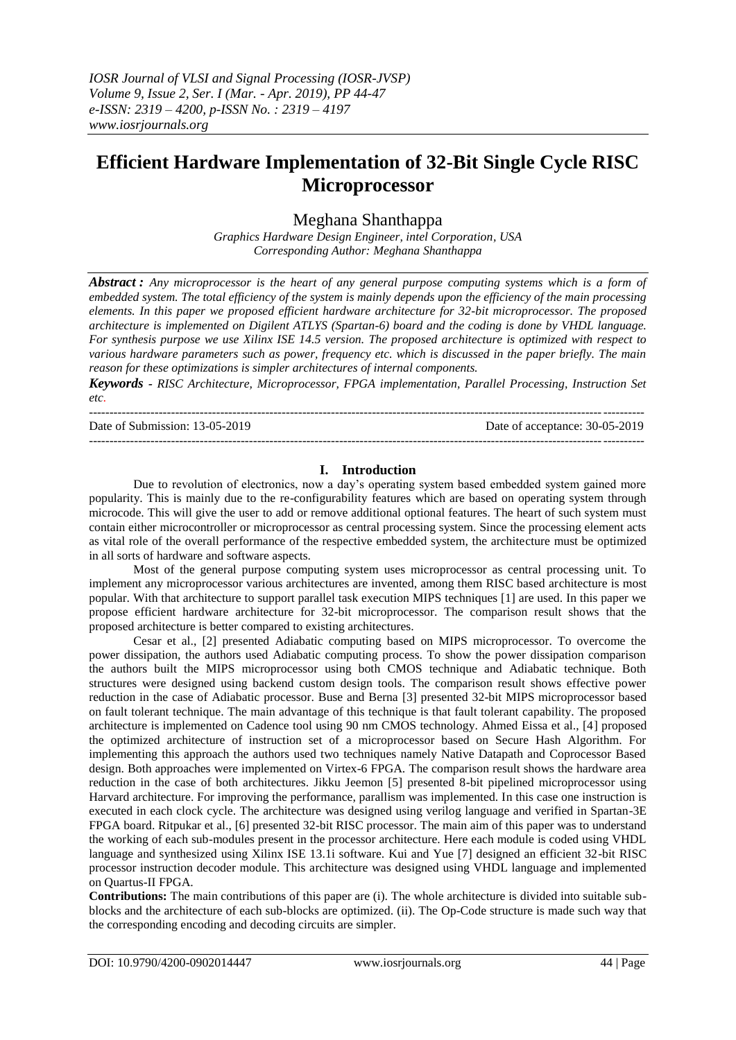# **Efficient Hardware Implementation of 32-Bit Single Cycle RISC Microprocessor**

## Meghana Shanthappa

*Graphics Hardware Design Engineer, intel Corporation, USA Corresponding Author: Meghana Shanthappa*

*Abstract : Any microprocessor is the heart of any general purpose computing systems which is a form of embedded system. The total efficiency of the system is mainly depends upon the efficiency of the main processing elements. In this paper we proposed efficient hardware architecture for 32-bit microprocessor. The proposed architecture is implemented on Digilent ATLYS (Spartan-6) board and the coding is done by VHDL language. For synthesis purpose we use Xilinx ISE 14.5 version. The proposed architecture is optimized with respect to various hardware parameters such as power, frequency etc. which is discussed in the paper briefly. The main reason for these optimizations is simpler architectures of internal components.*

*Keywords - RISC Architecture, Microprocessor, FPGA implementation, Parallel Processing, Instruction Set etc.*

--------------------------------------------------------------------------------------------------------------------------------------- Date of Submission: 13-05-2019 Date of acceptance: 30-05-2019 ---------------------------------------------------------------------------------------------------------------------------------------

### **I. Introduction**

Due to revolution of electronics, now a day"s operating system based embedded system gained more popularity. This is mainly due to the re-configurability features which are based on operating system through microcode. This will give the user to add or remove additional optional features. The heart of such system must contain either microcontroller or microprocessor as central processing system. Since the processing element acts as vital role of the overall performance of the respective embedded system, the architecture must be optimized in all sorts of hardware and software aspects.

Most of the general purpose computing system uses microprocessor as central processing unit. To implement any microprocessor various architectures are invented, among them RISC based architecture is most popular. With that architecture to support parallel task execution MIPS techniques [1] are used. In this paper we propose efficient hardware architecture for 32-bit microprocessor. The comparison result shows that the proposed architecture is better compared to existing architectures.

Cesar et al., [2] presented Adiabatic computing based on MIPS microprocessor. To overcome the power dissipation, the authors used Adiabatic computing process. To show the power dissipation comparison the authors built the MIPS microprocessor using both CMOS technique and Adiabatic technique. Both structures were designed using backend custom design tools. The comparison result shows effective power reduction in the case of Adiabatic processor. Buse and Berna [3] presented 32-bit MIPS microprocessor based on fault tolerant technique. The main advantage of this technique is that fault tolerant capability. The proposed architecture is implemented on Cadence tool using 90 nm CMOS technology. Ahmed Eissa et al., [4] proposed the optimized architecture of instruction set of a microprocessor based on Secure Hash Algorithm. For implementing this approach the authors used two techniques namely Native Datapath and Coprocessor Based design. Both approaches were implemented on Virtex-6 FPGA. The comparison result shows the hardware area reduction in the case of both architectures. Jikku Jeemon [5] presented 8-bit pipelined microprocessor using Harvard architecture. For improving the performance, parallism was implemented. In this case one instruction is executed in each clock cycle. The architecture was designed using verilog language and verified in Spartan-3E FPGA board. Ritpukar et al., [6] presented 32-bit RISC processor. The main aim of this paper was to understand the working of each sub-modules present in the processor architecture. Here each module is coded using VHDL language and synthesized using Xilinx ISE 13.1i software. Kui and Yue [7] designed an efficient 32-bit RISC processor instruction decoder module. This architecture was designed using VHDL language and implemented on Quartus-II FPGA.

**Contributions:** The main contributions of this paper are (i). The whole architecture is divided into suitable subblocks and the architecture of each sub-blocks are optimized. (ii). The Op-Code structure is made such way that the corresponding encoding and decoding circuits are simpler.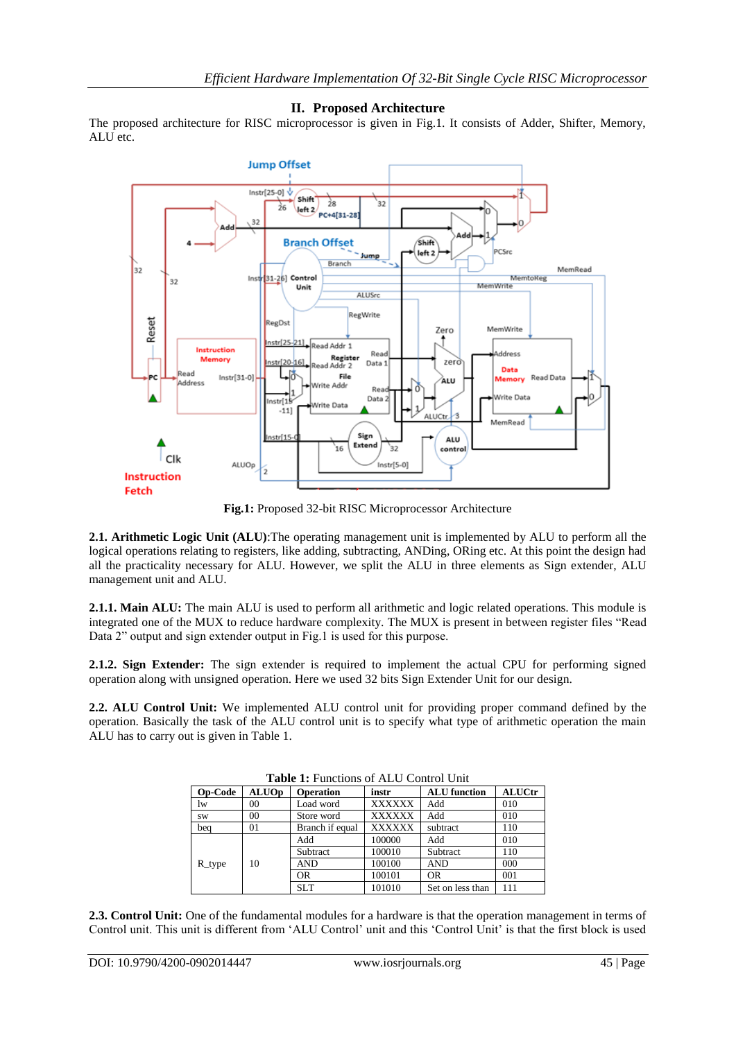## **II. Proposed Architecture**

The proposed architecture for RISC microprocessor is given in Fig.1. It consists of Adder, Shifter, Memory, ALU etc.



**Fig.1:** Proposed 32-bit RISC Microprocessor Architecture

**2.1. Arithmetic Logic Unit (ALU)**:The operating management unit is implemented by ALU to perform all the logical operations relating to registers, like adding, subtracting, ANDing, ORing etc. At this point the design had all the practicality necessary for ALU. However, we split the ALU in three elements as Sign extender, ALU management unit and ALU.

**2.1.1. Main ALU:** The main ALU is used to perform all arithmetic and logic related operations. This module is integrated one of the MUX to reduce hardware complexity. The MUX is present in between register files "Read Data 2" output and sign extender output in Fig.1 is used for this purpose.

**2.1.2. Sign Extender:** The sign extender is required to implement the actual CPU for performing signed operation along with unsigned operation. Here we used 32 bits Sign Extender Unit for our design.

**2.2. ALU Control Unit:** We implemented ALU control unit for providing proper command defined by the operation. Basically the task of the ALU control unit is to specify what type of arithmetic operation the main ALU has to carry out is given in Table 1.

| <b>Table 1:</b> Functions of ALU Control Unit |              |                  |               |                     |               |  |  |  |
|-----------------------------------------------|--------------|------------------|---------------|---------------------|---------------|--|--|--|
| <b>Op-Code</b>                                | <b>ALUOp</b> | <b>Operation</b> | instr         | <b>ALU</b> function | <b>ALUCtr</b> |  |  |  |
| lw                                            | 00           | Load word        | <b>XXXXXX</b> | Add                 | 010           |  |  |  |
| <b>SW</b>                                     | 00           | Store word       | <b>XXXXXX</b> | Add                 | 010           |  |  |  |
| bea                                           | 01           | Branch if equal  | <b>XXXXXX</b> | subtract            | 110           |  |  |  |
| $R_t$ type                                    | 10           | Add              | 100000        | Add                 | 010           |  |  |  |
|                                               |              | Subtract         | 100010        | Subtract            | 110           |  |  |  |
|                                               |              | AND              | 100100        | <b>AND</b>          | 000           |  |  |  |
|                                               |              | OR.              | 100101        | OR.                 | 001           |  |  |  |
|                                               |              | <b>SLT</b>       | 101010        | Set on less than    | 111           |  |  |  |

**Table 1:** Functions of ALU Control Unit

**2.3. Control Unit:** One of the fundamental modules for a hardware is that the operation management in terms of Control unit. This unit is different from 'ALU Control' unit and this 'Control Unit' is that the first block is used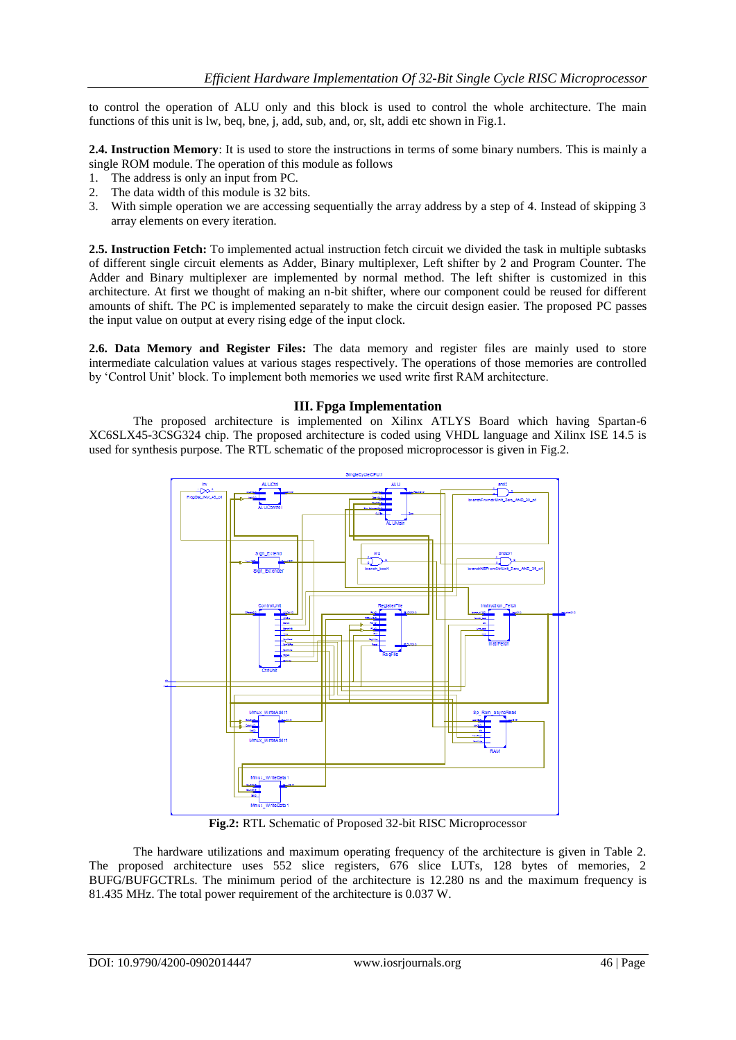to control the operation of ALU only and this block is used to control the whole architecture. The main functions of this unit is lw, beq, bne, j, add, sub, and, or, slt, addi etc shown in Fig.1.

**2.4. Instruction Memory**: It is used to store the instructions in terms of some binary numbers. This is mainly a single ROM module. The operation of this module as follows

- 1. The address is only an input from PC.
- 2. The data width of this module is 32 bits.
- 3. With simple operation we are accessing sequentially the array address by a step of 4. Instead of skipping 3 array elements on every iteration.

**2.5. Instruction Fetch:** To implemented actual instruction fetch circuit we divided the task in multiple subtasks of different single circuit elements as Adder, Binary multiplexer, Left shifter by 2 and Program Counter. The Adder and Binary multiplexer are implemented by normal method. The left shifter is customized in this architecture. At first we thought of making an n-bit shifter, where our component could be reused for different amounts of shift. The PC is implemented separately to make the circuit design easier. The proposed PC passes the input value on output at every rising edge of the input clock.

**2.6. Data Memory and Register Files:** The data memory and register files are mainly used to store intermediate calculation values at various stages respectively. The operations of those memories are controlled by "Control Unit" block. To implement both memories we used write first RAM architecture.

## **III. Fpga Implementation**

The proposed architecture is implemented on Xilinx ATLYS Board which having Spartan-6 XC6SLX45-3CSG324 chip. The proposed architecture is coded using VHDL language and Xilinx ISE 14.5 is used for synthesis purpose. The RTL schematic of the proposed microprocessor is given in Fig.2.



**Fig.2:** RTL Schematic of Proposed 32-bit RISC Microprocessor

The hardware utilizations and maximum operating frequency of the architecture is given in Table 2. The proposed architecture uses 552 slice registers, 676 slice LUTs, 128 bytes of memories, 2 BUFG/BUFGCTRLs. The minimum period of the architecture is 12.280 ns and the maximum frequency is 81.435 MHz. The total power requirement of the architecture is 0.037 W.